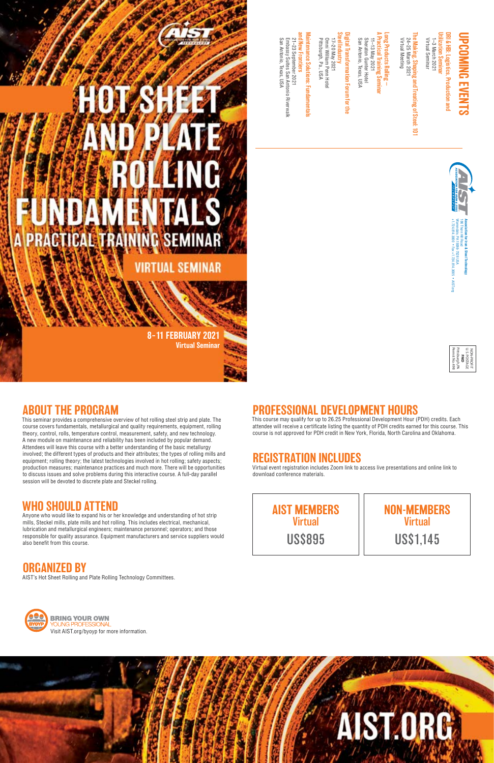## PROFESSIONAL DEVELOPMENT HOURS

This course may qualify for up to 26.25 Professional Development Hour (PDH) credits. Each attendee will receive a certificate listing the quantity of PDH credits earned for this course. This course is not approved for PDH credit in New York, Florida, North Carolina and Oklahoma.

## REGISTRATION INCLUDES

Virtual event registration includes Zoom link to access live presentations and online link to download conference materials.

## ABOUT THE PROGRAM

**PRACTICAL TRAINING** 

Utilization Seminar DRI & HBI: Logistics, Production and Virtual Seminar 1–3 March 2021 /irtual Seminar & HBI: Logistics, Production and -3 March 2021 **Ition Semil** 

This seminar provides a comprehensive overview of hot rolling steel strip and plate. The course covers fundamentals, metallurgical and quality requirements, equipment, rolling theory, control, rolls, temperature control, measurement, safety, and new technology. A new module on maintenance and reliability has been included by popular demand. Attendees will leave this course with a better understanding of the basic metallurgy involved; the different types of products and their attributes; the types of rolling mills and equipment; rolling theory; the latest technologies involved in hot rolling; safety aspects; production measures; maintenance practices and much more. There will be opportunities to discuss issues and solve problems during this interactive course. A full-day parallel session will be devoted to discrete plate and Steckel rolling.

8-11 FEBRUARY 2021

**SE** 

**VIRTUAL SEMINAR** 

## UPCOMING EVENTS NG EVENTS

The Making, Shaping and Treating of Steel: 101 he Making, Shaping and Treating of Steel:<br>24–25 March 2021<br>Virtual Meeting Virtual Meeting 24–25 March 2021  $\equiv$ 

A Practical Training Seminar Long Products Rolling ong Products Rolling ractical Training Seminar<br>1–13 May 2021

Sheraton Gunter Hotel<br>San Antonio, Texas, USA San Antonio, Texas, USA Sheraton Gunter Hotel 11–13 May 2021

## Steel Industry Digital Transformation Forum for the igital Transformation Forum for the **Industry**

17–20 May 2021<br>Omni William Penn Hotel<br>Pittsburgh, Pa., USA Pittsburgh, Pa., USA Omni William Penn Hotel 17–20 May 2021

> +1.724.814.3000 • Fax +1.724.814.3005 • AIST.org 186 Thorn Hill Road **Association for Iron & Steel Technology** arrendale, PA 15086-7528 USA rrendale, PA 15086-7528 USA<br>724.814.3000 • Fax +1.724.814.3005 • AIST.org ron & Steel Techr

Anyone who would like to expand his or her knowledge and understanding of hot strip mills, Steckel mills, plate mills and hot rolling. This includes electrical, mechanical, lubrication and metallurgical engineers; maintenance personnel; operators; and those responsible for quality assurance. Equipment manufacturers and service suppliers would also benefit from this course.



San Antonio, Texas, USA

and New Frontiers Maintenance Solutions: Fundamentals Maintenance Solutions: Fundamentals nd New Frontiers 21-23 September 2021 21–23 September 2021

Embassy Suites San Antonio Riverwalk

Embassy Suites San Antonio Riverwalk<br>San Antonio, Texas, USA

U.S. POSTAGE NON-PROFIT **PAID** Permit No. 498 Pittsburgh, PA



Virtual Seminar

## WHO SHOULD AT TEND

AIST MEMBERS **Virtual** US\$895

NON-MEMBERS **Virtual** US\$1,145